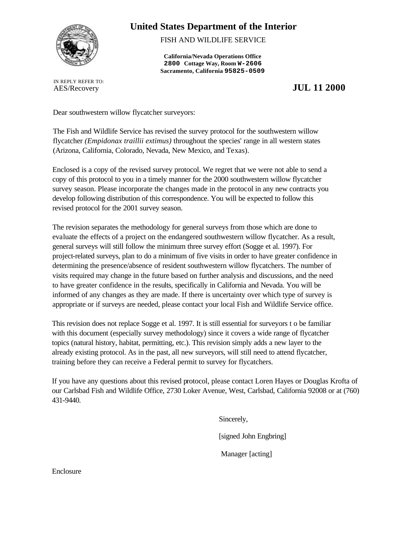

# **United States Department of the Interior**

FISH AND WILDLIFE SERVICE

**California/Nevada Operations Office 2800 Cottage Way, Room W-2606 Sacramento, California 95825-0509**

IN REPLY REFER TO:

AES/Recovery **JUL 11 2000**

Dear southwestern willow flycatcher surveyors:

The Fish and Wildlife Service has revised the survey protocol for the southwestern willow flycatcher *(Empidonax traillii extimus)* throughout the species' range in all western states (Arizona, California, Colorado, Nevada, New Mexico, and Texas).

Enclosed is a copy of the revised survey protocol. We regret that we were not able to send a copy of this protocol to you in a timely manner for the 2000 southwestern willow flycatcher survey season. Please incorporate the changes made in the protocol in any new contracts you develop following distribution of this correspondence. You will be expected to follow this revised protocol for the 2001 survey season.

The revision separates the methodology for general surveys from those which are done to evaluate the effects of a project on the endangered southwestern willow flycatcher. As a result, general surveys will still follow the minimum three survey effort (Sogge et al. 1997). For project-related surveys, plan to do a minimum of five visits in order to have greater confidence in determining the presence/absence of resident southwestern willow flycatchers. The number of visits required may change in the future based on further analysis and discussions, and the need to have greater confidence in the results, specifically in California and Nevada. You will be informed of any changes as they are made. If there is uncertainty over which type of survey is appropriate or if surveys are needed, please contact your local Fish and Wildlife Service office.

This revision does not replace Sogge et al. 1997. It is still essential for surveyors t o be familiar with this document (especially survey methodology) since it covers a wide range of flycatcher topics (natural history, habitat, permitting, etc.). This revision simply adds a new layer to the already existing protocol. As in the past, all new surveyors, will still need to attend flycatcher, training before they can receive a Federal permit to survey for flycatchers.

If you have any questions about this revised protocol, please contact Loren Hayes or Douglas Krofta of our Carlsbad Fish and Wildlife Office, 2730 Loker Avenue, West, Carlsbad, California 92008 or at (760) 431-9440.

> Sincerely, [signed John Engbring] Manager [acting]

Enclosure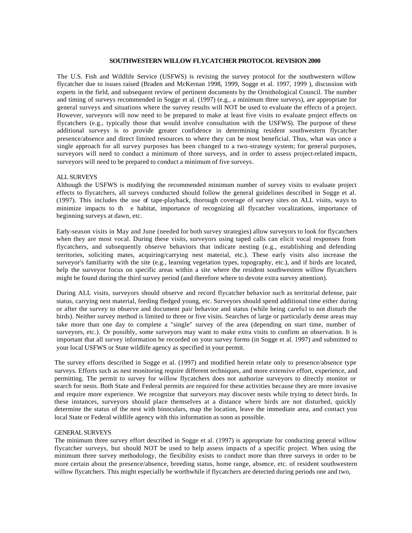# **SOUTHWESTERN WILLOW FLYCATCHER PROTOCOL REVISION 2000**

The U.S. Fish and Wildlife Service (USFWS) is revising the survey protocol for the southwestern willow flycatcher due to issues raised (Braden and McKernan 1998, 1999, Sogge et al. 1997, 1999 ), discussion with experts in the field, and subsequent review of pertinent documents by the Ornithological Council. The number and timing of surveys recommended in Sogge et al. (1997) (e.g., a minimum three surveys), are appropriate for general surveys and situations where the survey results will NOT be used to evaluate the effects of a project. However, surveyors will now need to be prepared to make at least five visits to evaluate project effects on flycatchers (e.g., typically those that would involve consultation with the USFWS). The purpose of these additional surveys is to provide greater confidence in determining resident southwestern flycatcher presence/absence and direct limited resources to where they can be most beneficial. Thus, what was once a single approach for all survey purposes has been changed to a two-strategy system; for general purposes, surveyors will need to conduct a minimum of three surveys, and in order to assess project-related impacts, surveyors will need to be prepared to conduct a minimum of five surveys.

### ALL SURVEYS

Although the USFWS is modifying the recommended minimum number of survey visits to evaluate project effects to flycatchers, all surveys conducted should follow the general guidelines described in Sogge et al. (1997). This includes the use of tape-playback, thorough coverage of survey sites on ALL visits, ways to minimize impacts to th e habitat, importance of recognizing all flycatcher vocalizations, importance of beginning surveys at dawn, etc.

Early-season visits in May and June (needed for both survey strategies) allow surveyors to look for flycatchers when they are most vocal. During these visits, surveyors using taped calls can elicit vocal responses from flycatchers, and subsequently observe behaviors that indicate nesting (e.g., establishing and defending territories, soliciting mates, acquiring/carrying nest material, etc.). These early visits also increase the surveyor's familiarity with the site (e.g., learning vegetation types, topography, etc.), and if birds are located, help the surveyor focus on specific areas within a site where the resident southwestern willow flycatchers might be found during the third survey period (and therefore where to devote extra survey attention).

During ALL visits, surveyors should observe and record flycatcher behavior such as territorial defense, pair status, carrying nest material, feeding fledged young, etc. Surveyors should spend additional time either during or after the survey to observe and document pair behavior and status (while being careful to not disturb the birds). Neither survey method is limited to three or five visits. Searches of large or particularly dense areas may take more than one day to complete a "single" survey of the area (depending on start time, number of surveyors, etc.). Or possibly, some surveyors may want to make extra visits to confirm an observation. It is important that all survey information be recorded on your survey forms (in Sogge et al. 1997) and submitted to your local USFWS or State wildlife agency as specified in your permit.

The survey efforts described in Sogge et al. (1997) and modified herein relate only to presence/absence type surveys. Efforts such as nest monitoring require different techniques, and more extensive effort, experience, and permitting. The permit to survey for willow flycatchers does not authorize surveyors to directly monitor or search for nests. Both State and Federal permits are required for these activities because they are more invasive and require more experience. We recognize that surveyors may discover nests while trying to detect birds. In these instances, surveyors should place themselves at a distance where birds are not disturbed, quickly determine the status of the nest with binoculars, map the location, leave the immediate area, and contact you local State or Federal wildlife agency with this information as soon as possible.

#### GENERAL SURVEYS

The minimum three survey effort described in Sogge et al. (1997) is appropriate for conducting general willow flycatcher surveys, but should NOT be used to help assess impacts of a specific project. When using the minimum three survey methodology, the flexibility exists to conduct more than three surveys in order to be more certain about the presence/absence, breeding status, home range, absence, etc. of resident southwestern willow flycatchers. This might especially be worthwhile if flycatchers are detected during periods one and two,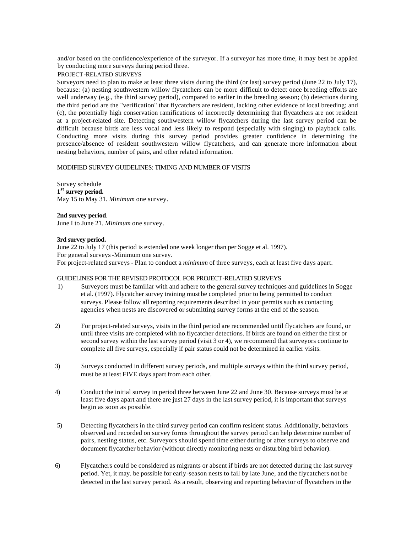and/or based on the confidence/experience of the surveyor. If a surveyor has more time, it may best be applied by conducting more surveys during period three.

# PROJECT-RELATED SURVEYS

Surveyors need to plan to make at least three visits during the third (or last) survey period (June 22 to July 17), because: (a) nesting southwestern willow flycatchers can be more difficult to detect once breeding efforts are well underway (e.g., the third survey period), compared to earlier in the breeding season; (b) detections during the third period are the "verification" that flycatchers are resident, lacking other evidence of local breeding; and (c), the potentially high conservation ramifications of incorrectly determining that flycatchers are not resident at a project-related site. Detecting southwestern willow flycatchers during the last survey period can be difficult because birds are less vocal and less likely to respond (especially with singing) to playback calls. Conducting more visits during this survey period provides greater confidence in determining the presence/absence of resident southwestern willow flycatchers, and can generate more information about nesting behaviors, number of pairs, and other related information.

# MODIFIED SURVEY GUIDELINES: TIMING AND NUMBER OF VISITS

Survey schedule **1 st survey period.** May 15 to May 31*. Minimum* one survey.

**2nd survey period**. June I to June 21*. Minimum* one survey.

# **3rd survey period.**

June 22 to July 17 (this period is extended one week longer than per Sogge et al. 1997). For general surveys -Minimum one survey. For project-related surveys - Plan to conduct a *minimum* of three surveys, each at least five days apart.

# GUIDELINES FOR THE REVISED PROTOCOL FOR PROJECT-RELATED SURVEYS

- 1) Surveyors must be familiar with and adhere to the general survey techniques and guidelines in Sogge et al. (1997). Flycatcher survey training must be completed prior to being permitted to conduct surveys. Please follow all reporting requirements described in your permits such as contacting agencies when nests are discovered or submitting survey forms at the end of the season.
- 2) For project-related surveys, visits in the third period are recommended until flycatchers are found, or until three visits are completed with no flycatcher detections. If birds are found on either the first or second survey within the last survey period (visit 3 or 4), we recommend that surveyors continue to complete all five surveys, especially if pair status could not be determined in earlier visits.
- 3) Surveys conducted in different survey periods, and multiple surveys within the third survey period, must be at least FIVE days apart from each other.
- 4) Conduct the initial survey in period three between June 22 and June 30. Because surveys must be at least five days apart and there are just 27 days in the last survey period, it is important that surveys begin as soon as possible.
- 5) Detecting flycatchers in the third survey period can confirm resident status. Additionally, behaviors observed and recorded on survey forms throughout the survey period can help determine number of pairs, nesting status, etc. Surveyors should spend time either during or after surveys to observe and document flycatcher behavior (without directly monitoring nests or disturbing bird behavior).
- 6) Flycatchers could be considered as migrants or absent if birds are not detected during the last survey period. Yet, it may. be possible for early-season nests to fail by late June, and the flycatchers not be detected in the last survey period. As a result, observing and reporting behavior of flycatchers in the